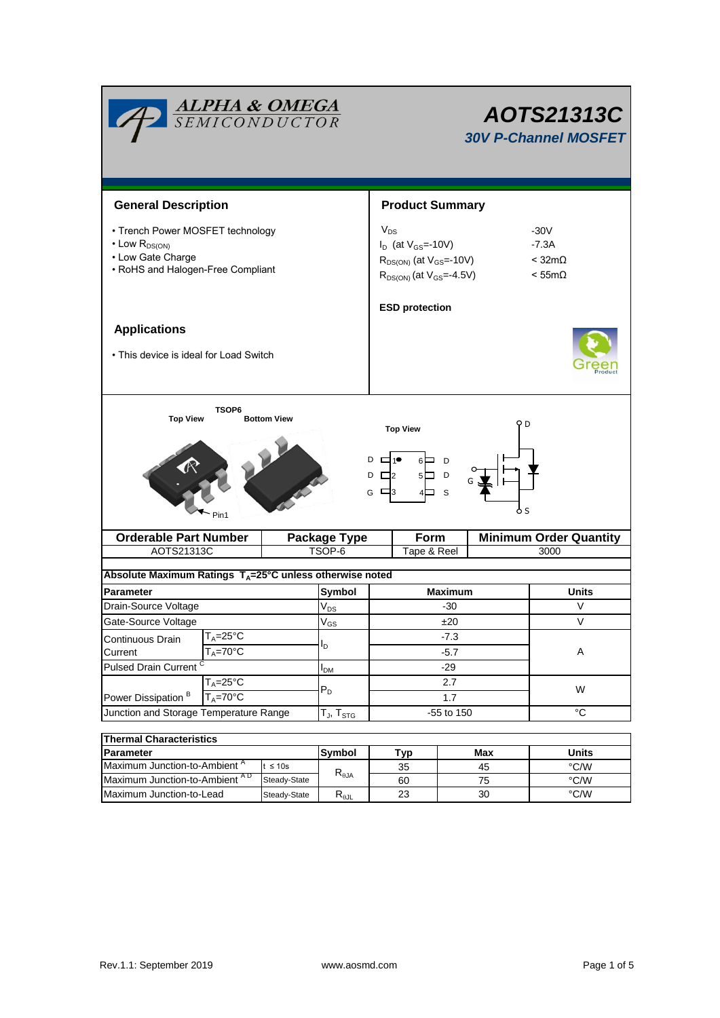| <b>ALPHA &amp; OMEGA</b><br>SEMICONDUCTOR                                                                                                                                   |                                |  | AOTS21313C<br><b>30V P-Channel MOSFET</b> |                                                                                                                  |            |     |                                                        |  |  |
|-----------------------------------------------------------------------------------------------------------------------------------------------------------------------------|--------------------------------|--|-------------------------------------------|------------------------------------------------------------------------------------------------------------------|------------|-----|--------------------------------------------------------|--|--|
| <b>General Description</b>                                                                                                                                                  |                                |  |                                           | <b>Product Summary</b>                                                                                           |            |     |                                                        |  |  |
| • Trench Power MOSFET technology<br>$\cdot$ Low $R_{DS(ON)}$<br>• Low Gate Charge<br>• RoHS and Halogen-Free Compliant                                                      |                                |  |                                           | $V_{DS}$<br>$I_D$ (at $V_{GS}$ =-10V)<br>$R_{DS(ON)}$ (at $V_{GS}$ =-10V)<br>$R_{DS(ON)}$ (at $V_{GS} = -4.5V$ ) |            |     | $-30V$<br>$-7.3A$<br>$<$ 32m $\Omega$<br>$< 55m\Omega$ |  |  |
|                                                                                                                                                                             |                                |  |                                           | <b>ESD protection</b>                                                                                            |            |     |                                                        |  |  |
| <b>Applications</b><br>• This device is ideal for Load Switch                                                                                                               |                                |  |                                           |                                                                                                                  |            |     |                                                        |  |  |
| <b>TSOP6</b><br><b>Top View</b><br><b>Bottom View</b><br>PD<br><b>Top View</b><br>$D \Box 1^{\bullet}$<br>$6$ D<br>$D \Box 2$<br>$5\Box$ D<br>G<br>⊟з<br>- S<br>ዕ s<br>Pin1 |                                |  |                                           |                                                                                                                  |            |     |                                                        |  |  |
|                                                                                                                                                                             | <b>Orderable Part Number</b>   |  | <b>Package Type</b>                       |                                                                                                                  | Form       |     | <b>Minimum Order Quantity</b>                          |  |  |
| AOTS21313C                                                                                                                                                                  |                                |  | TSOP-6                                    | Tape & Reel                                                                                                      |            |     | 3000                                                   |  |  |
| Absolute Maximum Ratings T <sub>A</sub> =25°C unless otherwise noted                                                                                                        |                                |  |                                           |                                                                                                                  |            |     |                                                        |  |  |
| <b>Parameter</b>                                                                                                                                                            |                                |  | Symbol                                    | <b>Maximum</b>                                                                                                   |            |     | Units                                                  |  |  |
| Drain-Source Voltage                                                                                                                                                        |                                |  | $\mathsf{V}_{\mathsf{DS}}$                | -30                                                                                                              |            |     | V                                                      |  |  |
| Gate-Source Voltage                                                                                                                                                         |                                |  | $\rm V_{GS}$                              | ±20                                                                                                              |            |     | V                                                      |  |  |
| Continuous Drain<br>$I_A = 25^\circ C$                                                                                                                                      |                                |  |                                           |                                                                                                                  | -7.3       |     |                                                        |  |  |
| Current                                                                                                                                                                     | $T_A = 70^\circ C$             |  | I <sub>D</sub>                            | $-5.7$                                                                                                           |            |     | Α                                                      |  |  |
| Pulsed Drain Current <sup>C</sup>                                                                                                                                           |                                |  | $I_{DM}$                                  | $-29$                                                                                                            |            |     |                                                        |  |  |
| Power Dissipation <sup>B</sup>                                                                                                                                              | $T_A = 25$ °C<br>$T_A = 70$ °C |  | $P_D$                                     |                                                                                                                  | 2.7<br>1.7 |     | W                                                      |  |  |
| Junction and Storage Temperature Range                                                                                                                                      |                                |  | $T_J$ , $T_{STG}$                         | -55 to 150                                                                                                       |            |     | $^{\circ}$ C                                           |  |  |
|                                                                                                                                                                             |                                |  |                                           |                                                                                                                  |            |     |                                                        |  |  |
| <b>Thermal Characteristics</b><br><b>Parameter</b>                                                                                                                          |                                |  | Symbol                                    |                                                                                                                  | Tyn        | Max | <b>Units</b>                                           |  |  |

| Thermal Unaracteristics                  |               |                                  |     |       |      |  |  |
|------------------------------------------|---------------|----------------------------------|-----|-------|------|--|--|
| <b>IParameter</b>                        | <b>Symbol</b> | Tvp                              | Max | Units |      |  |  |
| Maximum Junction-to-Ambient <sup>"</sup> | t $\leq 10$ s | $R_{\theta$ JA                   | 35  | 45    | °C/W |  |  |
| Maximum Junction-to-Ambient AD           | Steady-State  |                                  | 60  | 75    | °C/W |  |  |
| Maximum Junction-to-Lead                 | Steady-State  | $\mathsf{R}_{\theta\mathsf{JL}}$ | 23  | 30    | °C/W |  |  |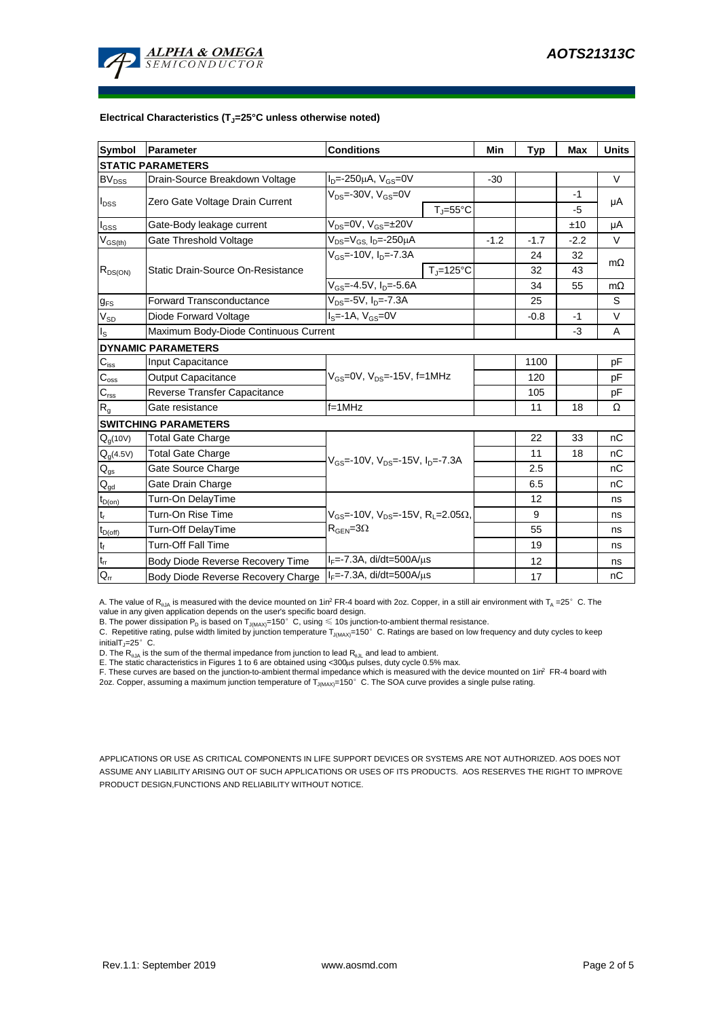

### **Electrical Characteristics (TJ=25°C unless otherwise noted)**

| <b>Symbol</b>               | Parameter                             | <b>Conditions</b>                                               | Min    | <b>Typ</b> | Max    | <b>Units</b> |  |  |  |
|-----------------------------|---------------------------------------|-----------------------------------------------------------------|--------|------------|--------|--------------|--|--|--|
| <b>STATIC PARAMETERS</b>    |                                       |                                                                 |        |            |        |              |  |  |  |
| $BV_{DSS}$                  | Drain-Source Breakdown Voltage        | $I_{D} = -250 \mu A$ , $V_{GS} = 0V$                            | $-30$  |            |        | $\vee$       |  |  |  |
| $I_{DSS}$                   | Zero Gate Voltage Drain Current       | $V_{DS}$ =-30V, $V_{GS}$ =0V                                    |        |            | $-1$   | μA           |  |  |  |
|                             |                                       | $T_{J} = 55^{\circ}C$                                           |        |            | -5     |              |  |  |  |
| $I_{GSS}$                   | Gate-Body leakage current             | $V_{DS} = 0V$ , $V_{GS} = \pm 20V$                              |        |            | ±10    | μA           |  |  |  |
| $V_{GS(th)}$                | Gate Threshold Voltage                | V <sub>DS</sub> =V <sub>GS.</sub> I <sub>D</sub> =-250µA        | $-1.2$ | $-1.7$     | $-2.2$ | V            |  |  |  |
| $R_{DS(ON)}$                |                                       | $V_{GS}$ =-10V, $I_{D}$ =-7.3A                                  |        | 24         | 32     | $m\Omega$    |  |  |  |
|                             | Static Drain-Source On-Resistance     | $T_{\rm J}$ =125°C                                              |        | 32         | 43     |              |  |  |  |
|                             |                                       | $V_{GS} = -4.5V$ , $I_D = -5.6A$                                |        | 34         | 55     | $m\Omega$    |  |  |  |
| $g_{FS}$                    | <b>Forward Transconductance</b>       | $V_{DS} = -5V$ , $I_{D} = -7.3A$                                |        | 25         |        | S            |  |  |  |
| $V_{SD}$                    | Diode Forward Voltage                 | $I_S = -1A$ , $V_{GS} = 0V$                                     |        | $-0.8$     | $-1$   | V            |  |  |  |
| $\mathsf{I}_\mathsf{S}$     | Maximum Body-Diode Continuous Current |                                                                 |        | $-3$       | A      |              |  |  |  |
|                             | <b>DYNAMIC PARAMETERS</b>             |                                                                 |        |            |        |              |  |  |  |
| $\mathbf{C}_{\mathsf{iss}}$ | Input Capacitance                     |                                                                 |        | 1100       |        | рF           |  |  |  |
| $C_{\rm oss}$               | <b>Output Capacitance</b>             | $V_{GS}$ =0V, $V_{DS}$ =-15V, f=1MHz                            |        | 120        |        | рF           |  |  |  |
| $\overline{C_{\rm rss}}$    | Reverse Transfer Capacitance          |                                                                 |        | 105        |        | рF           |  |  |  |
| R <sub>g</sub>              | Gate resistance                       | $f = 1$ MHz                                                     |        | 11         | 18     | Ω            |  |  |  |
|                             | <b>SWITCHING PARAMETERS</b>           |                                                                 |        |            |        |              |  |  |  |
| $Q_q(10V)$                  | <b>Total Gate Charge</b>              |                                                                 |        | 22         | 33     | nC           |  |  |  |
| $Q_g(4.5V)$                 | <b>Total Gate Charge</b>              | $V_{GS}$ =-10V, $V_{DS}$ =-15V, $I_{D}$ =-7.3A                  |        | 11         | 18     | nC           |  |  |  |
| $\mathsf{Q}_{\text{gs}}$    | Gate Source Charge                    |                                                                 |        | 2.5        |        | nC           |  |  |  |
| $\mathsf{Q}_{\mathsf{gd}}$  | Gate Drain Charge                     |                                                                 |        | 6.5        |        | пC           |  |  |  |
| $t_{D(on)}$                 | Turn-On DelayTime                     |                                                                 |        | 12         |        | ns           |  |  |  |
| $t_r$                       | Turn-On Rise Time                     | $V_{GS}$ =-10V, $V_{DS}$ =-15V, R <sub>1</sub> =2.05 $\Omega$ , |        | 9          |        | ns           |  |  |  |
| $t_{D(off)}$                | Turn-Off DelayTime                    | $R_{\text{GEN}} = 3\Omega$                                      |        | 55         |        | ns           |  |  |  |
| $t_f$                       | Turn-Off Fall Time                    |                                                                 |        | 19         |        | ns           |  |  |  |
| $\mathfrak{t}_{\text{rr}}$  | Body Diode Reverse Recovery Time      | $I_F = -7.3A$ , di/dt=500A/ $\mu$ s                             |        | 12         |        | ns           |  |  |  |
| $Q_{rr}$                    | Body Diode Reverse Recovery Charge    | $I_F$ =-7.3A, di/dt=500A/ $\mu$ s                               |        | 17         |        | nC           |  |  |  |

A. The value of  $R_{\theta JA}$  is measured with the device mounted on 1in<sup>2</sup> FR-4 board with 2oz. Copper, in a still air environment with T<sub>A</sub> =25° C. The value in any given application depends on the user's specific board design.

B. The power dissipation  ${\sf P}_{\sf D}$  is based on  ${\sf T}_{\sf J(MAX)}$ =150 $^\circ\,$  C, using  $\leqslant$  10s junction-to-ambient thermal resistance.

C. Repetitive rating, pulse width limited by junction temperature T $_{\rm J(MAX)}$ =150°C. Ratings are based on low frequency and duty cycles to keep

initialT $j=25^\circ$  C.

D. The R<sub>eJA</sub> is the sum of the thermal impedance from junction to lead R<sub>eJL</sub> and lead to ambient.<br>E. The static characteristics in Figures 1 to 6 are obtained using <300µs pulses, duty cycle 0.5% max.<br>F. These curves are

APPLICATIONS OR USE AS CRITICAL COMPONENTS IN LIFE SUPPORT DEVICES OR SYSTEMS ARE NOT AUTHORIZED. AOS DOES NOT ASSUME ANY LIABILITY ARISING OUT OF SUCH APPLICATIONS OR USES OF ITS PRODUCTS. AOS RESERVES THE RIGHT TO IMPROVE PRODUCT DESIGN,FUNCTIONS AND RELIABILITY WITHOUT NOTICE.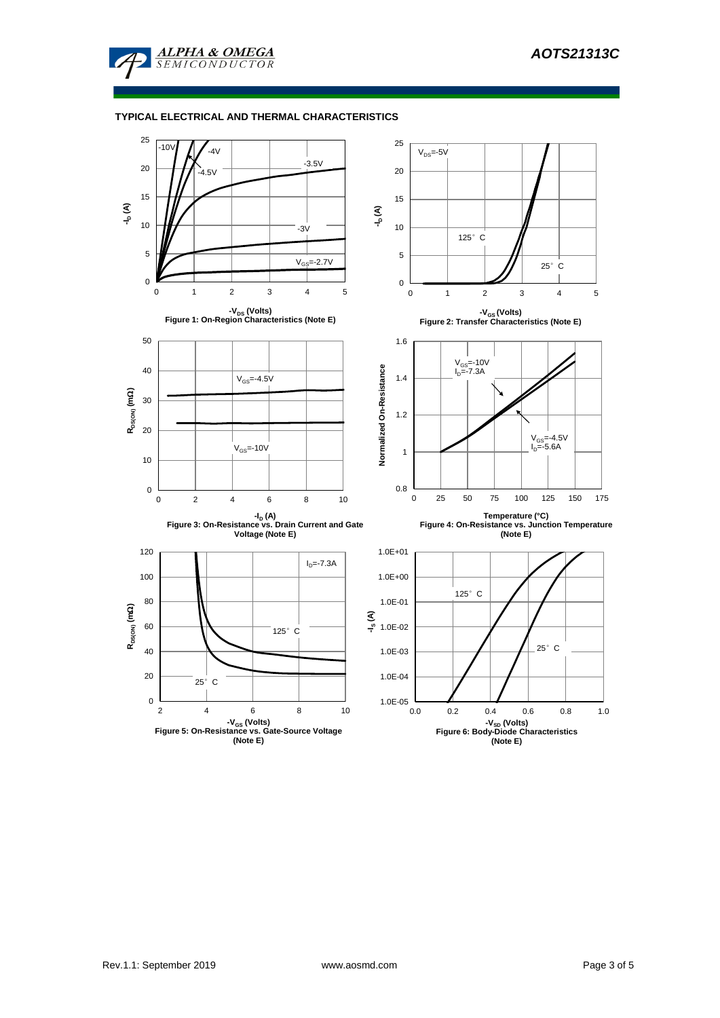

### **TYPICAL ELECTRICAL AND THERMAL CHARACTERISTICS**

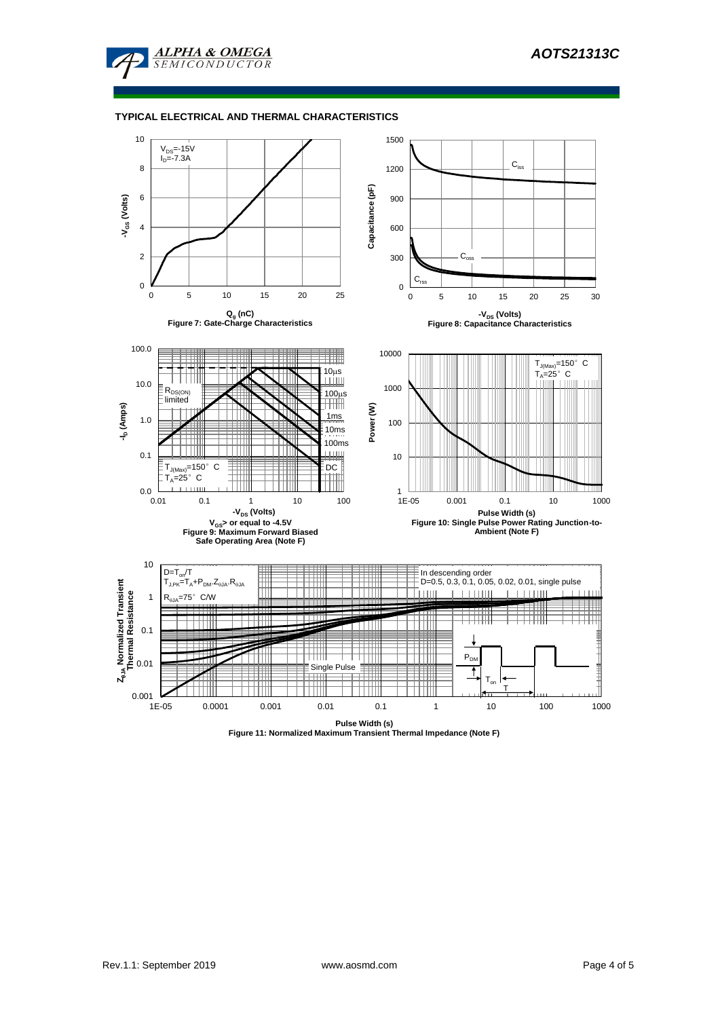

### **TYPICAL ELECTRICAL AND THERMAL CHARACTERISTICS**